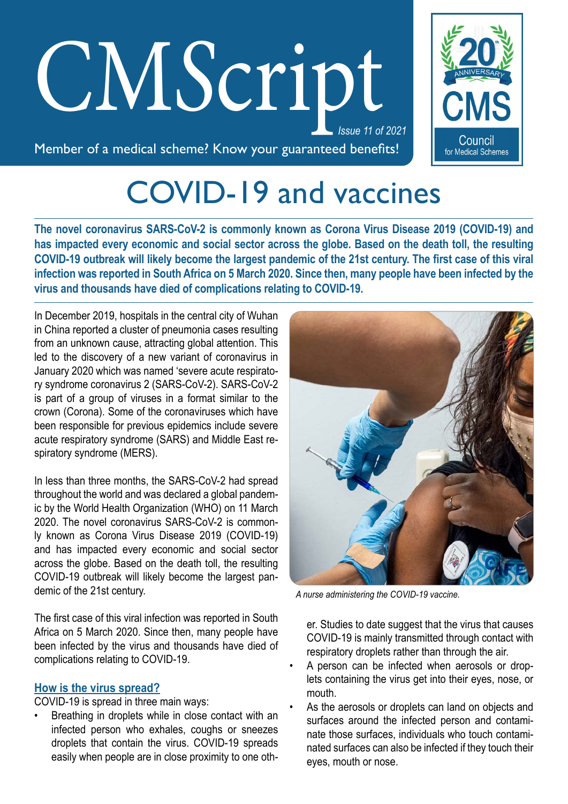# *Issue 11 of 2021* CM*S*cript



Member of a medical scheme? Know your guaranteed benefits!

# COVID-19 and vaccines

**The novel coronavirus SARS-CoV-2 is commonly known as Corona Virus Disease 2019 (COVID-19) and has impacted every economic and social sector across the globe. Based on the death toll, the resulting COVID-19 outbreak will likely become the largest pandemic of the 21st century. The first case of this viral infection was reported in South Africa on 5 March 2020. Since then, many people have been infected by the virus and thousands have died of complications relating to COVID-19.** 

In December 2019, hospitals in the central city of Wuhan in China reported a cluster of pneumonia cases resulting from an unknown cause, attracting global attention. This led to the discovery of a new variant of coronavirus in January 2020 which was named 'severe acute respiratory syndrome coronavirus 2 (SARS‑CoV‑2). SARS‑CoV‑2 is part of a group of viruses in a format similar to the crown (Corona). Some of the coronaviruses which have been responsible for previous epidemics include severe acute respiratory syndrome (SARS) and Middle East re‑ spiratory syndrome (MERS).

In less than three months, the SARS-CoV-2 had spread throughout the world and was declared a global pandem‑ ic by the World Health Organization (WHO) on 11 March 2020. The novel coronavirus SARS-CoV-2 is commonly known as Corona Virus Disease 2019 (COVID-19) and has impacted every economic and social sector across the globe. Based on the death toll, the resulting COVID-19 outbreak will likely become the largest pandemic of the 21st century.

The first case of this viral infection was reported in South Africa on 5 March 2020. Since then, many people have been infected by the virus and thousands have died of complications relating to COVID-19.

# **How is the virus spread?**

COVID-19 is spread in three main ways:

Breathing in droplets while in close contact with an infected person who exhales, coughs or sneezes droplets that contain the virus. COVID-19 spreads easily when people are in close proximity to one oth-



 *A nurse administering the COVID-19 vaccine.*

er. Studies to date suggest that the virus that causes COVID-19 is mainly transmitted through contact with respiratory droplets rather than through the air.

- A person can be infected when aerosols or droplets containing the virus get into their eyes, nose, or mouth.
- As the aerosols or droplets can land on objects and surfaces around the infected person and contaminate those surfaces, individuals who touch contaminated surfaces can also be infected if they touch their eyes, mouth or nose.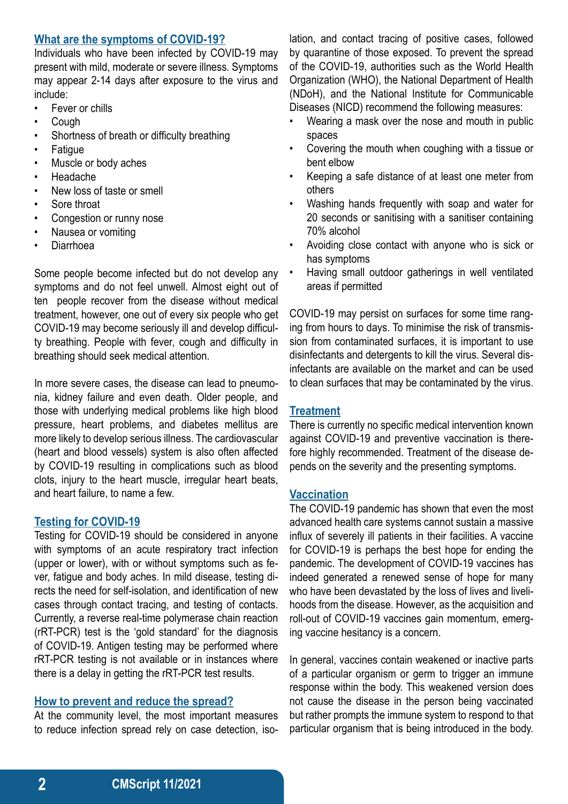### **What are the symptoms of COVID-19?**

Individuals who have been infected by COVID-19 may present with mild, moderate or severe illness. Symptoms may appear 2-14 days after exposure to the virus and include:

- Fever or chills
- Cough
- Shortness of breath or difficulty breathing
- **Fatigue**
- Muscle or body aches
- Headache
- New loss of taste or smell
- Sore throat
- Congestion or runny nose
- Nausea or vomiting
- Diarrhoea

Some people become infected but do not develop any symptoms and do not feel unwell. Almost eight out of ten people recover from the disease without medical treatment, however, one out of every six people who get COVID-19 may become seriously ill and develop difficulty breathing. People with fever, cough and difficulty in breathing should seek medical attention.

In more severe cases, the disease can lead to pneumonia, kidney failure and even death. Older people, and those with underlying medical problems like high blood pressure, heart problems, and diabetes mellitus are more likely to develop serious illness. The cardiovascular (heart and blood vessels) system is also often affected by COVID-19 resulting in complications such as blood clots, injury to the heart muscle, irregular heart beats, and heart failure, to name a few.

# **Testing for COVID-19**

Testing for COVID-19 should be considered in anyone with symptoms of an acute respiratory tract infection (upper or lower), with or without symptoms such as fe‑ ver, fatigue and body aches. In mild disease, testing directs the need for self-isolation, and identification of new cases through contact tracing, and testing of contacts. Currently, a reverse real-time polymerase chain reaction (rRT-PCR) test is the 'gold standard' for the diagnosis of COVID-19. Antigen testing may be performed where rRT-PCR testing is not available or in instances where there is a delay in getting the rRT-PCR test results.

#### **How to prevent and reduce the spread?**

At the community level, the most important measures to reduce infection spread rely on case detection, isolation, and contact tracing of positive cases, followed by quarantine of those exposed. To prevent the spread of the COVID-19, authorities such as the World Health Organization (WHO), the National Department of Health (NDoH), and the National Institute for Communicable Diseases (NICD) recommend the following measures:

- Wearing a mask over the nose and mouth in public spaces
- Covering the mouth when coughing with a tissue or bent elbow
- Keeping a safe distance of at least one meter from others
- Washing hands frequently with soap and water for 20 seconds or sanitising with a sanitiser containing 70% alcohol
- Avoiding close contact with anyone who is sick or has symptoms
- Having small outdoor gatherings in well ventilated areas if permitted

COVID-19 may persist on surfaces for some time ranging from hours to days. To minimise the risk of transmission from contaminated surfaces, it is important to use disinfectants and detergents to kill the virus. Several disinfectants are available on the market and can be used to clean surfaces that may be contaminated by the virus.

# **Treatment**

There is currently no specific medical intervention known against COVID-19 and preventive vaccination is therefore highly recommended. Treatment of the disease de‑ pends on the severity and the presenting symptoms.

#### **Vaccination**

The COVID-19 pandemic has shown that even the most advanced health care systems cannot sustain a massive influx of severely ill patients in their facilities. A vaccine for COVID-19 is perhaps the best hope for ending the pandemic. The development of COVID-19 vaccines has indeed generated a renewed sense of hope for many who have been devastated by the loss of lives and livelihoods from the disease. However, as the acquisition and roll-out of COVID-19 vaccines gain momentum, emerging vaccine hesitancy is a concern.

In general, vaccines contain weakened or inactive parts of a particular organism or germ to trigger an immune response within the body. This weakened version does not cause the disease in the person being vaccinated but rather prompts the immune system to respond to that particular organism that is being introduced in the body.